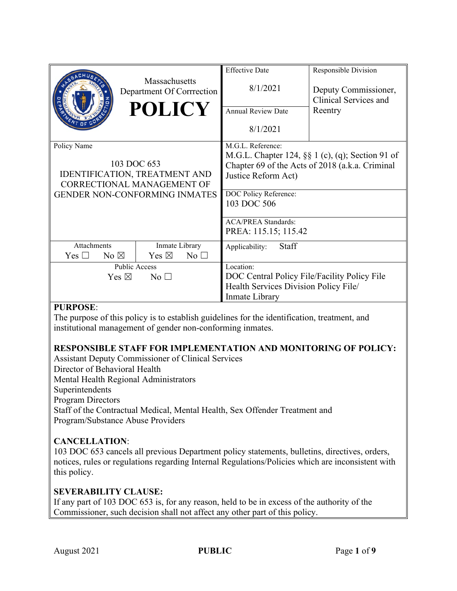|                                                                                                                                          | Massachusetts<br>Department Of Corrrection<br><b>POLICY</b> | <b>Effective Date</b><br>8/1/2021<br><b>Annual Review Date</b><br>8/1/2021                                                                                                                                                                    | Responsible Division<br>Deputy Commissioner,<br>Clinical Services and<br>Reentry |
|------------------------------------------------------------------------------------------------------------------------------------------|-------------------------------------------------------------|-----------------------------------------------------------------------------------------------------------------------------------------------------------------------------------------------------------------------------------------------|----------------------------------------------------------------------------------|
| Policy Name<br>103 DOC 653<br>IDENTIFICATION, TREATMENT AND<br><b>CORRECTIONAL MANAGEMENT OF</b><br><b>GENDER NON-CONFORMING INMATES</b> |                                                             | M.G.L. Reference:<br>M.G.L. Chapter 124, §§ 1 (c), (q); Section 91 of<br>Chapter 69 of the Acts of 2018 (a.k.a. Criminal<br>Justice Reform Act)<br>DOC Policy Reference:<br>103 DOC 506<br><b>ACA/PREA Standards:</b><br>PREA: 115.15; 115.42 |                                                                                  |
| <b>Attachments</b>                                                                                                                       | Inmate Library                                              | <b>Staff</b><br>Applicability:                                                                                                                                                                                                                |                                                                                  |
| Yes $\Box$<br>No $\boxtimes$                                                                                                             | Yes $\boxtimes$<br>$No$ $\square$<br>Public Access          | Location:                                                                                                                                                                                                                                     |                                                                                  |
| Yes $\boxtimes$<br>No <sub>1</sub>                                                                                                       |                                                             | DOC Central Policy File/Facility Policy File<br>Health Services Division Policy File/<br>Inmate Library                                                                                                                                       |                                                                                  |

## **PURPOSE**:

The purpose of this policy is to establish guidelines for the identification, treatment, and institutional management of gender non-conforming inmates.

# **RESPONSIBLE STAFF FOR IMPLEMENTATION AND MONITORING OF POLICY:**

Assistant Deputy Commissioner of Clinical Services

Director of Behavioral Health

Mental Health Regional Administrators

Superintendents

Program Directors

Staff of the Contractual Medical, Mental Health, Sex Offender Treatment and Program/Substance Abuse Providers

# **CANCELLATION**:

103 DOC 653 cancels all previous Department policy statements, bulletins, directives, orders, notices, rules or regulations regarding Internal Regulations/Policies which are inconsistent with this policy.

# **SEVERABILITY CLAUSE:**

If any part of 103 DOC 653 is, for any reason, held to be in excess of the authority of the Commissioner, such decision shall not affect any other part of this policy.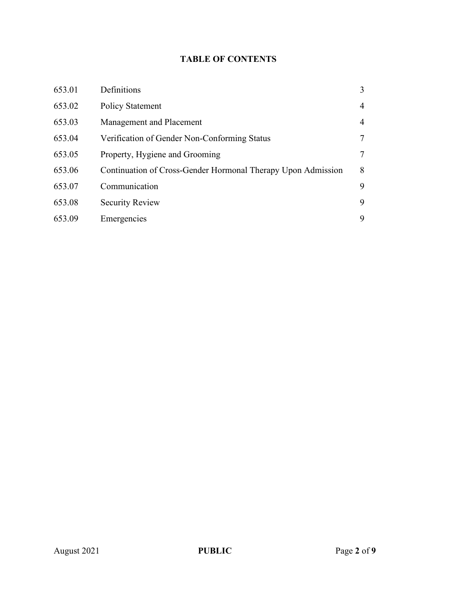# **TABLE OF CONTENTS**

| 653.01 | Definitions                                                  | 3              |
|--------|--------------------------------------------------------------|----------------|
| 653.02 | <b>Policy Statement</b>                                      | $\overline{4}$ |
| 653.03 | Management and Placement                                     | 4              |
| 653.04 | Verification of Gender Non-Conforming Status                 | 7              |
| 653.05 | Property, Hygiene and Grooming                               | 7              |
| 653.06 | Continuation of Cross-Gender Hormonal Therapy Upon Admission | 8              |
| 653.07 | Communication                                                | 9              |
| 653.08 | <b>Security Review</b>                                       | 9              |
| 653.09 | Emergencies                                                  | 9              |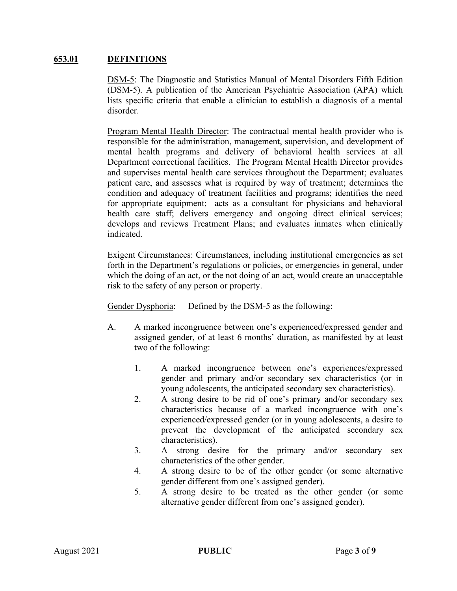#### **653.01 DEFINITIONS**

DSM-5: The Diagnostic and Statistics Manual of Mental Disorders Fifth Edition (DSM-5). A publication of the American Psychiatric Association (APA) which lists specific criteria that enable a clinician to establish a diagnosis of a mental disorder.

Program Mental Health Director: The contractual mental health provider who is responsible for the administration, management, supervision, and development of mental health programs and delivery of behavioral health services at all Department correctional facilities. The Program Mental Health Director provides and supervises mental health care services throughout the Department; evaluates patient care, and assesses what is required by way of treatment; determines the condition and adequacy of treatment facilities and programs; identifies the need for appropriate equipment; acts as a consultant for physicians and behavioral health care staff; delivers emergency and ongoing direct clinical services; develops and reviews Treatment Plans; and evaluates inmates when clinically indicated.

Exigent Circumstances: Circumstances, including institutional emergencies as set forth in the Department's regulations or policies, or emergencies in general, under which the doing of an act, or the not doing of an act, would create an unacceptable risk to the safety of any person or property.

Gender Dysphoria: Defined by the DSM-5 as the following:

- A. A marked incongruence between one's experienced/expressed gender and assigned gender, of at least 6 months' duration, as manifested by at least two of the following:
	- 1. A marked incongruence between one's experiences/expressed gender and primary and/or secondary sex characteristics (or in young adolescents, the anticipated secondary sex characteristics).
	- 2. A strong desire to be rid of one's primary and/or secondary sex characteristics because of a marked incongruence with one's experienced/expressed gender (or in young adolescents, a desire to prevent the development of the anticipated secondary sex characteristics).
	- 3. A strong desire for the primary and/or secondary sex characteristics of the other gender.
	- 4. A strong desire to be of the other gender (or some alternative gender different from one's assigned gender).
	- 5. A strong desire to be treated as the other gender (or some alternative gender different from one's assigned gender).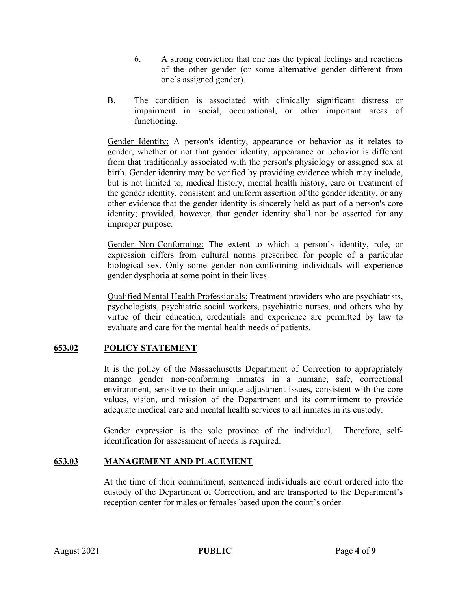- 6. A strong conviction that one has the typical feelings and reactions of the other gender (or some alternative gender different from one's assigned gender).
- B. The condition is associated with clinically significant distress or impairment in social, occupational, or other important areas of functioning.

Gender Identity: A person's identity, appearance or behavior as it relates to gender, whether or not that gender identity, appearance or behavior is different from that traditionally associated with the person's physiology or assigned sex at birth. Gender identity may be verified by providing evidence which may include, but is not limited to, medical history, mental health history, care or treatment of the gender identity, consistent and uniform assertion of the gender identity, or any other evidence that the gender identity is sincerely held as part of a person's core identity; provided, however, that gender identity shall not be asserted for any improper purpose.

Gender Non-Conforming: The extent to which a person's identity, role, or expression differs from cultural norms prescribed for people of a particular biological sex. Only some gender non-conforming individuals will experience gender dysphoria at some point in their lives.

Qualified Mental Health Professionals: Treatment providers who are psychiatrists, psychologists, psychiatric social workers, psychiatric nurses, and others who by virtue of their education, credentials and experience are permitted by law to evaluate and care for the mental health needs of patients.

# **653.02 POLICY STATEMENT**

It is the policy of the Massachusetts Department of Correction to appropriately manage gender non-conforming inmates in a humane, safe, correctional environment, sensitive to their unique adjustment issues, consistent with the core values, vision, and mission of the Department and its commitment to provide adequate medical care and mental health services to all inmates in its custody.

Gender expression is the sole province of the individual. Therefore, selfidentification for assessment of needs is required.

## **653.03 MANAGEMENT AND PLACEMENT**

At the time of their commitment, sentenced individuals are court ordered into the custody of the Department of Correction, and are transported to the Department's reception center for males or females based upon the court's order.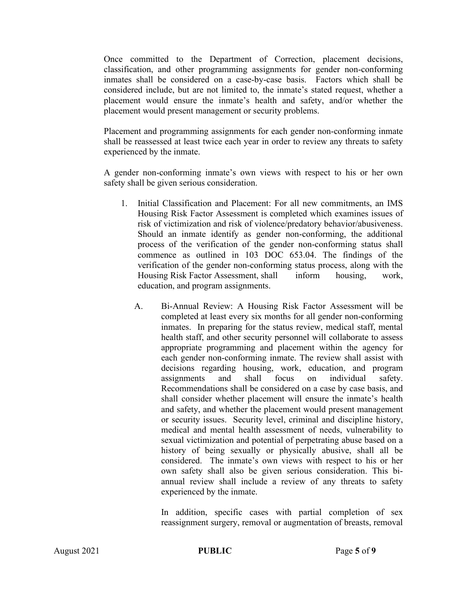Once committed to the Department of Correction, placement decisions, classification, and other programming assignments for gender non-conforming inmates shall be considered on a case-by-case basis. Factors which shall be considered include, but are not limited to, the inmate's stated request, whether a placement would ensure the inmate's health and safety, and/or whether the placement would present management or security problems.

Placement and programming assignments for each gender non-conforming inmate shall be reassessed at least twice each year in order to review any threats to safety experienced by the inmate.

A gender non-conforming inmate's own views with respect to his or her own safety shall be given serious consideration.

- 1. Initial Classification and Placement: For all new commitments, an IMS Housing Risk Factor Assessment is completed which examines issues of risk of victimization and risk of violence/predatory behavior/abusiveness. Should an inmate identify as gender non-conforming, the additional process of the verification of the gender non-conforming status shall commence as outlined in 103 DOC 653.04. The findings of the verification of the gender non-conforming status process, along with the Housing Risk Factor Assessment, shall inform housing, work, education, and program assignments.
	- A. Bi-Annual Review: A Housing Risk Factor Assessment will be completed at least every six months for all gender non-conforming inmates. In preparing for the status review, medical staff, mental health staff, and other security personnel will collaborate to assess appropriate programming and placement within the agency for each gender non-conforming inmate. The review shall assist with decisions regarding housing, work, education, and program assignments and shall focus on individual safety. Recommendations shall be considered on a case by case basis, and shall consider whether placement will ensure the inmate's health and safety, and whether the placement would present management or security issues. Security level, criminal and discipline history, medical and mental health assessment of needs, vulnerability to sexual victimization and potential of perpetrating abuse based on a history of being sexually or physically abusive, shall all be considered. The inmate's own views with respect to his or her own safety shall also be given serious consideration. This biannual review shall include a review of any threats to safety experienced by the inmate.

In addition, specific cases with partial completion of sex reassignment surgery, removal or augmentation of breasts, removal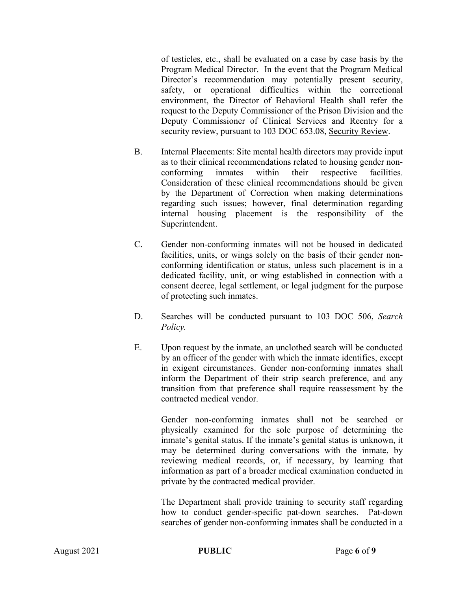of testicles, etc., shall be evaluated on a case by case basis by the Program Medical Director. In the event that the Program Medical Director's recommendation may potentially present security, safety, or operational difficulties within the correctional environment, the Director of Behavioral Health shall refer the request to the Deputy Commissioner of the Prison Division and the Deputy Commissioner of Clinical Services and Reentry for a security review, pursuant to 103 DOC 653.08, Security Review.

- B. Internal Placements: Site mental health directors may provide input as to their clinical recommendations related to housing gender nonconforming inmates within their respective facilities. Consideration of these clinical recommendations should be given by the Department of Correction when making determinations regarding such issues; however, final determination regarding internal housing placement is the responsibility of the Superintendent.
- C. Gender non-conforming inmates will not be housed in dedicated facilities, units, or wings solely on the basis of their gender nonconforming identification or status, unless such placement is in a dedicated facility, unit, or wing established in connection with a consent decree, legal settlement, or legal judgment for the purpose of protecting such inmates.
- D. Searches will be conducted pursuant to 103 DOC 506, *Search Policy.*
- E. Upon request by the inmate, an unclothed search will be conducted by an officer of the gender with which the inmate identifies, except in exigent circumstances. Gender non-conforming inmates shall inform the Department of their strip search preference, and any transition from that preference shall require reassessment by the contracted medical vendor.

Gender non-conforming inmates shall not be searched or physically examined for the sole purpose of determining the inmate's genital status. If the inmate's genital status is unknown, it may be determined during conversations with the inmate, by reviewing medical records, or, if necessary, by learning that information as part of a broader medical examination conducted in private by the contracted medical provider.

The Department shall provide training to security staff regarding how to conduct gender-specific pat-down searches. Pat-down searches of gender non-conforming inmates shall be conducted in a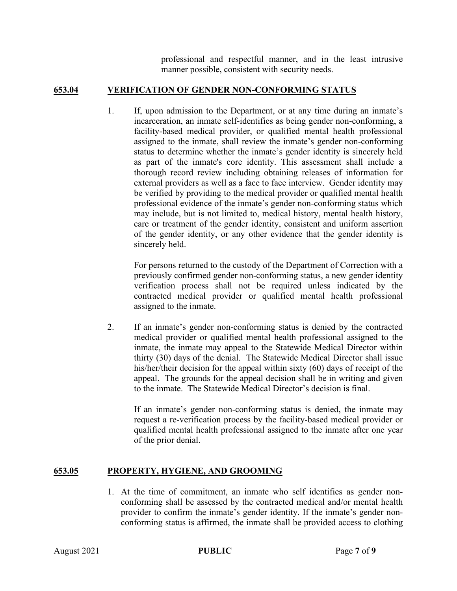professional and respectful manner, and in the least intrusive manner possible, consistent with security needs.

## **653.04 VERIFICATION OF GENDER NON-CONFORMING STATUS**

1. If, upon admission to the Department, or at any time during an inmate's incarceration, an inmate self-identifies as being gender non-conforming, a facility-based medical provider, or qualified mental health professional assigned to the inmate, shall review the inmate's gender non-conforming status to determine whether the inmate's gender identity is sincerely held as part of the inmate's core identity. This assessment shall include a thorough record review including obtaining releases of information for external providers as well as a face to face interview. Gender identity may be verified by providing to the medical provider or qualified mental health professional evidence of the inmate's gender non-conforming status which may include, but is not limited to, medical history, mental health history, care or treatment of the gender identity, consistent and uniform assertion of the gender identity, or any other evidence that the gender identity is sincerely held.

For persons returned to the custody of the Department of Correction with a previously confirmed gender non-conforming status, a new gender identity verification process shall not be required unless indicated by the contracted medical provider or qualified mental health professional assigned to the inmate.

2. If an inmate's gender non-conforming status is denied by the contracted medical provider or qualified mental health professional assigned to the inmate, the inmate may appeal to the Statewide Medical Director within thirty (30) days of the denial. The Statewide Medical Director shall issue his/her/their decision for the appeal within sixty (60) days of receipt of the appeal. The grounds for the appeal decision shall be in writing and given to the inmate. The Statewide Medical Director's decision is final.

If an inmate's gender non-conforming status is denied, the inmate may request a re-verification process by the facility-based medical provider or qualified mental health professional assigned to the inmate after one year of the prior denial.

## **653.05 PROPERTY, HYGIENE, AND GROOMING**

1. At the time of commitment, an inmate who self identifies as gender nonconforming shall be assessed by the contracted medical and/or mental health provider to confirm the inmate's gender identity. If the inmate's gender nonconforming status is affirmed, the inmate shall be provided access to clothing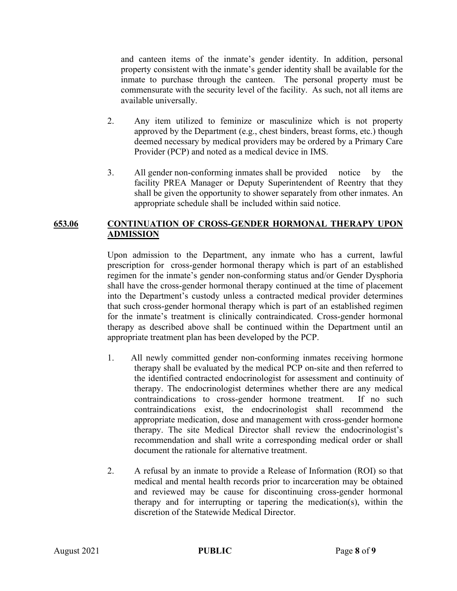and canteen items of the inmate's gender identity. In addition, personal property consistent with the inmate's gender identity shall be available for the inmate to purchase through the canteen. The personal property must be commensurate with the security level of the facility. As such, not all items are available universally.

- 2. Any item utilized to feminize or masculinize which is not property approved by the Department (e.g., chest binders, breast forms, etc.) though deemed necessary by medical providers may be ordered by a Primary Care Provider (PCP) and noted as a medical device in IMS.
- 3. All gender non-conforming inmates shall be provided notice by the facility PREA Manager or Deputy Superintendent of Reentry that they shall be given the opportunity to shower separately from other inmates. An appropriate schedule shall be included within said notice.

#### **653.06 CONTINUATION OF CROSS-GENDER HORMONAL THERAPY UPON ADMISSION**

Upon admission to the Department, any inmate who has a current, lawful prescription for cross-gender hormonal therapy which is part of an established regimen for the inmate's gender non-conforming status and/or Gender Dysphoria shall have the cross-gender hormonal therapy continued at the time of placement into the Department's custody unless a contracted medical provider determines that such cross-gender hormonal therapy which is part of an established regimen for the inmate's treatment is clinically contraindicated. Cross-gender hormonal therapy as described above shall be continued within the Department until an appropriate treatment plan has been developed by the PCP.

- 1. All newly committed gender non-conforming inmates receiving hormone therapy shall be evaluated by the medical PCP on-site and then referred to the identified contracted endocrinologist for assessment and continuity of therapy. The endocrinologist determines whether there are any medical contraindications to cross-gender hormone treatment. If no such contraindications exist, the endocrinologist shall recommend the appropriate medication, dose and management with cross-gender hormone therapy. The site Medical Director shall review the endocrinologist's recommendation and shall write a corresponding medical order or shall document the rationale for alternative treatment.
- 2. A refusal by an inmate to provide a Release of Information (ROI) so that medical and mental health records prior to incarceration may be obtained and reviewed may be cause for discontinuing cross-gender hormonal therapy and for interrupting or tapering the medication(s), within the discretion of the Statewide Medical Director.